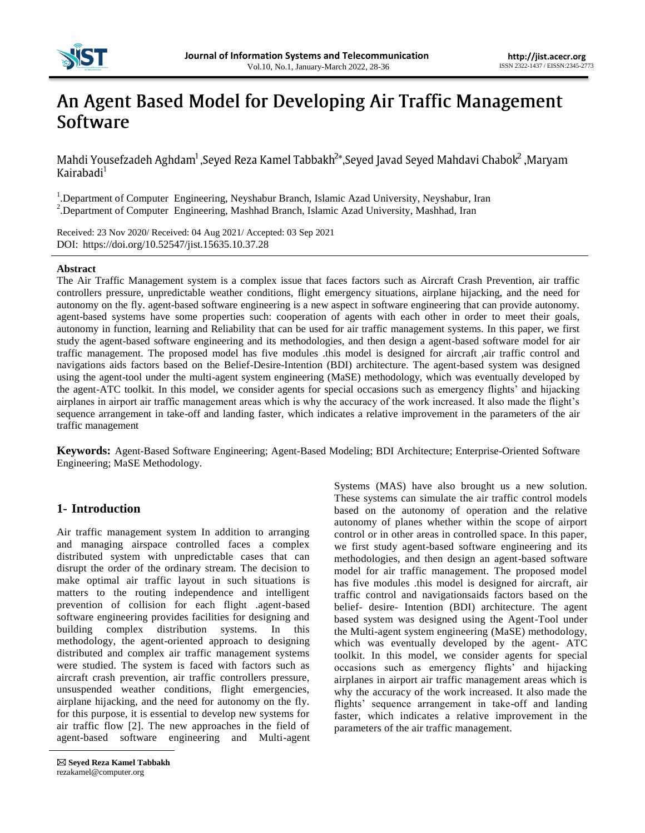

# An Agent Based Model for Developing Air Traffic Management Software

Mahdi Yousefzadeh Aghdam<sup>1</sup>, Seyed Reza Kamel Tabbakh<sup>2\*</sup>, Seyed Javad Seyed Mahdavi Chabok<sup>2</sup>, Maryam Kairabadi<sup>1</sup>

<sup>1</sup>. Department of Computer Engineering, Neyshabur Branch, Islamic Azad University, Neyshabur, Iran <sup>2</sup>.Department of Computer Engineering, Mashhad Branch, Islamic Azad University, Mashhad, Iran

Received: 23 Nov 2020/ Received: 04 Aug 2021/ Accepted: 03 Sep 2021<br>DOI: https://doi.org/10.52547/jist.15635.10.37.28 https://doi.org/10.52547/jist.15635.10.37.28

## **Abstract**

The Air Traffic Management system is a complex issue that faces factors such as Aircraft Crash Prevention, air traffic controllers pressure, unpredictable weather conditions, flight emergency situations, airplane hijacking, and the need for autonomy on the fly. agent-based software engineering is a new aspect in software engineering that can provide autonomy. agent-based systems have some properties such: cooperation of agents with each other in order to meet their goals, autonomy in function, learning and Reliability that can be used for air traffic management systems. In this paper, we first study the agent-based software engineering and its methodologies, and then design a agent-based software model for air traffic management. The proposed model has five modules .this model is designed for aircraft ,air traffic control and navigations aids factors based on the Belief-Desire-Intention (BDI) architecture. The agent-based system was designed using the agent-tool under the multi-agent system engineering (MaSE) methodology, which was eventually developed by the agent-ATC toolkit. In this model, we consider agents for special occasions such as emergency flights" and hijacking airplanes in airport air traffic management areas which is why the accuracy of the work increased. It also made the flight"s sequence arrangement in take-off and landing faster, which indicates a relative improvement in the parameters of the air traffic management

**Keywords:** Agent-Based Software Engineering; Agent-Based Modeling; BDI Architecture; Enterprise-Oriented Software Engineering; MaSE Methodology.

# **1- Introduction**

Air traffic management system In addition to arranging and managing airspace controlled faces a complex distributed system with unpredictable cases that can disrupt the order of the ordinary stream. The decision to make optimal air traffic layout in such situations is matters to the routing independence and intelligent prevention of collision for each flight .agent-based software engineering provides facilities for designing and building complex distribution systems. In this methodology, the agent-oriented approach to designing distributed and complex air traffic management systems were studied. The system is faced with factors such as aircraft crash prevention, air traffic controllers pressure, unsuspended weather conditions, flight emergencies, airplane hijacking, and the need for autonomy on the fly. for this purpose, it is essential to develop new systems for air traffic flow [2]. The new approaches in the field of agent-based software engineering and Multi-agent

Systems (MAS) have also brought us a new solution. These systems can simulate the air traffic control models based on the autonomy of operation and the relative autonomy of planes whether within the scope of airport control or in other areas in controlled space. In this paper, we first study agent-based software engineering and its methodologies, and then design an agent-based software model for air traffic management. The proposed model has five modules .this model is designed for aircraft, air traffic control and navigationsaids factors based on the belief- desire- Intention (BDI) architecture. The agent based system was designed using the Agent-Tool under the Multi-agent system engineering (MaSE) methodology, which was eventually developed by the agent- ATC toolkit. In this model, we consider agents for special occasions such as emergency flights' and hijacking airplanes in airport air traffic management areas which is why the accuracy of the work increased. It also made the flights' sequence arrangement in take-off and landing faster, which indicates a relative improvement in the parameters of the air traffic management.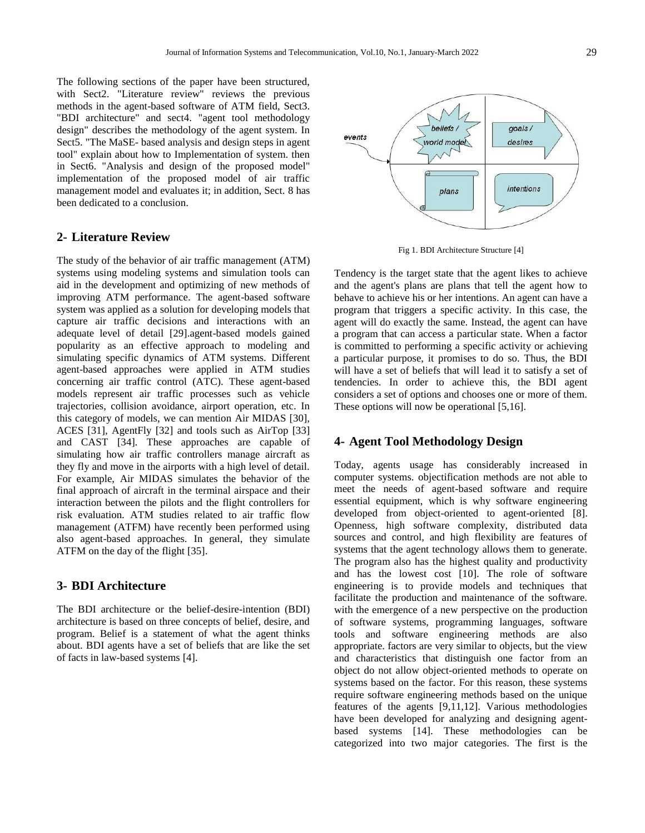The following sections of the paper have been structured, with Sect2. "Literature review" reviews the previous methods in the agent-based software of ATM field, Sect3. "BDI architecture" and sect4. "agent tool methodology design" describes the methodology of the agent system. In Sect5. "The MaSE- based analysis and design steps in agent tool" explain about how to Implementation of system. then in Sect6. "Analysis and design of the proposed model" implementation of the proposed model of air traffic management model and evaluates it; in addition, Sect. 8 has been dedicated to a conclusion.

# **2- Literature Review**

The study of the behavior of air traffic management (ATM) systems using modeling systems and simulation tools can aid in the development and optimizing of new methods of improving ATM performance. The agent-based software system was applied as a solution for developing models that capture air traffic decisions and interactions with an adequate level of detail [29].agent-based models gained popularity as an effective approach to modeling and simulating specific dynamics of ATM systems. Different agent-based approaches were applied in ATM studies concerning air traffic control (ATC). These agent-based models represent air traffic processes such as vehicle trajectories, collision avoidance, airport operation, etc. In this category of models, we can mention Air MIDAS [30], ACES [31], AgentFly [32] and tools such as AirTop [33] and CAST [34]. These approaches are capable of simulating how air traffic controllers manage aircraft as they fly and move in the airports with a high level of detail. For example, Air MIDAS simulates the behavior of the final approach of aircraft in the terminal airspace and their interaction between the pilots and the flight controllers for risk evaluation. ATM studies related to air traffic flow management (ATFM) have recently been performed using also agent-based approaches. In general, they simulate ATFM on the day of the flight [35].

# **3- BDI Architecture**

The BDI architecture or the belief-desire-intention (BDI) architecture is based on three concepts of belief, desire, and program. Belief is a statement of what the agent thinks about. BDI agents have a set of beliefs that are like the set of facts in law-based systems [4].



Fig 1. BDI Architecture Structure [4]

Tendency is the target state that the agent likes to achieve and the agent's plans are plans that tell the agent how to behave to achieve his or her intentions. An agent can have a program that triggers a specific activity. In this case, the agent will do exactly the same. Instead, the agent can have a program that can access a particular state. When a factor is committed to performing a specific activity or achieving a particular purpose, it promises to do so. Thus, the BDI will have a set of beliefs that will lead it to satisfy a set of tendencies. In order to achieve this, the BDI agent considers a set of options and chooses one or more of them. These options will now be operational [5,16].

# **4- Agent Tool Methodology Design**

Today, agents usage has considerably increased in computer systems. objectification methods are not able to meet the needs of agent-based software and require essential equipment, which is why software engineering developed from object-oriented to agent-oriented [8]. Openness, high software complexity, distributed data sources and control, and high flexibility are features of systems that the agent technology allows them to generate. The program also has the highest quality and productivity and has the lowest cost [10]. The role of software engineering is to provide models and techniques that facilitate the production and maintenance of the software. with the emergence of a new perspective on the production of software systems, programming languages, software tools and software engineering methods are also appropriate. factors are very similar to objects, but the view and characteristics that distinguish one factor from an object do not allow object-oriented methods to operate on systems based on the factor. For this reason, these systems require software engineering methods based on the unique features of the agents [9,11,12]. Various methodologies have been developed for analyzing and designing agentbased systems [14]. These methodologies can be categorized into two major categories. The first is the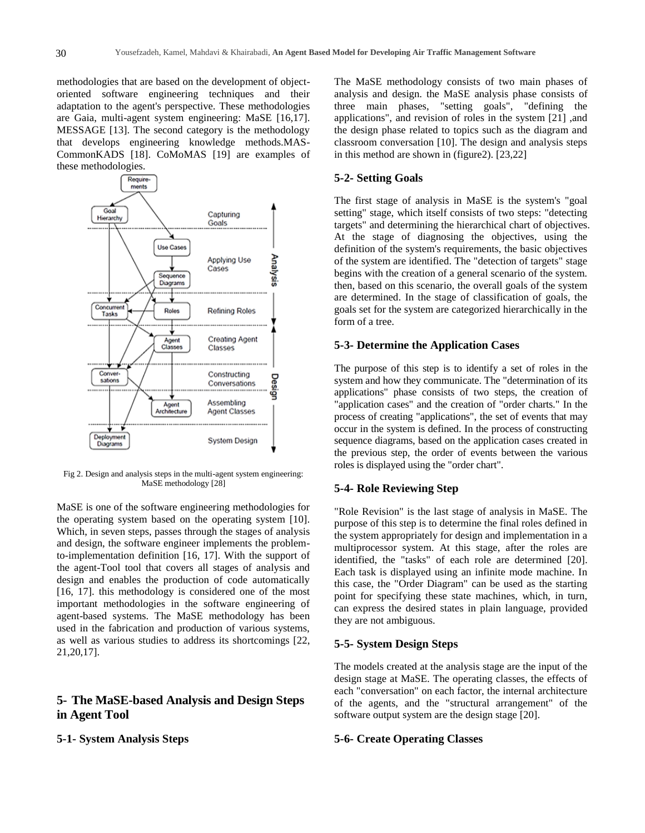methodologies that are based on the development of objectoriented software engineering techniques and their adaptation to the agent's perspective. These methodologies are Gaia, multi-agent system engineering: MaSE [16,17]. MESSAGE [13]. The second category is the methodology that develops engineering knowledge methods.MAS-CommonKADS [18]. CoMoMAS [19] are examples of these methodologies.



Fig 2. Design and analysis steps in the multi-agent system engineering: MaSE methodology [28]

MaSE is one of the software engineering methodologies for the operating system based on the operating system [10]. Which, in seven steps, passes through the stages of analysis and design, the software engineer implements the problemto-implementation definition [16, 17]. With the support of the agent-Tool tool that covers all stages of analysis and design and enables the production of code automatically [16, 17]. this methodology is considered one of the most important methodologies in the software engineering of agent-based systems. The MaSE methodology has been used in the fabrication and production of various systems, as well as various studies to address its shortcomings [22, 21,20,17].

# **5- The MaSE-based Analysis and Design Steps in Agent Tool**

## **5-1- System Analysis Steps**

The MaSE methodology consists of two main phases of analysis and design. the MaSE analysis phase consists of three main phases, "setting goals", "defining the applications", and revision of roles in the system [21] ,and the design phase related to topics such as the diagram and classroom conversation [10]. The design and analysis steps in this method are shown in (figure2). [23,22]

#### **5-2- Setting Goals**

The first stage of analysis in MaSE is the system's "goal setting" stage, which itself consists of two steps: "detecting targets" and determining the hierarchical chart of objectives. At the stage of diagnosing the objectives, using the definition of the system's requirements, the basic objectives of the system are identified. The "detection of targets" stage begins with the creation of a general scenario of the system. then, based on this scenario, the overall goals of the system are determined. In the stage of classification of goals, the goals set for the system are categorized hierarchically in the form of a tree.

## **5-3- Determine the Application Cases**

The purpose of this step is to identify a set of roles in the system and how they communicate. The "determination of its applications" phase consists of two steps, the creation of "application cases" and the creation of "order charts." In the process of creating "applications", the set of events that may occur in the system is defined. In the process of constructing sequence diagrams, based on the application cases created in the previous step, the order of events between the various roles is displayed using the "order chart".

#### **5-4- Role Reviewing Step**

"Role Revision" is the last stage of analysis in MaSE. The purpose of this step is to determine the final roles defined in the system appropriately for design and implementation in a multiprocessor system. At this stage, after the roles are identified, the "tasks" of each role are determined [20]. Each task is displayed using an infinite mode machine. In this case, the "Order Diagram" can be used as the starting point for specifying these state machines, which, in turn, can express the desired states in plain language, provided they are not ambiguous.

#### **5-5- System Design Steps**

The models created at the analysis stage are the input of the design stage at MaSE. The operating classes, the effects of each "conversation" on each factor, the internal architecture of the agents, and the "structural arrangement" of the software output system are the design stage [20].

#### **5-6- Create Operating Classes**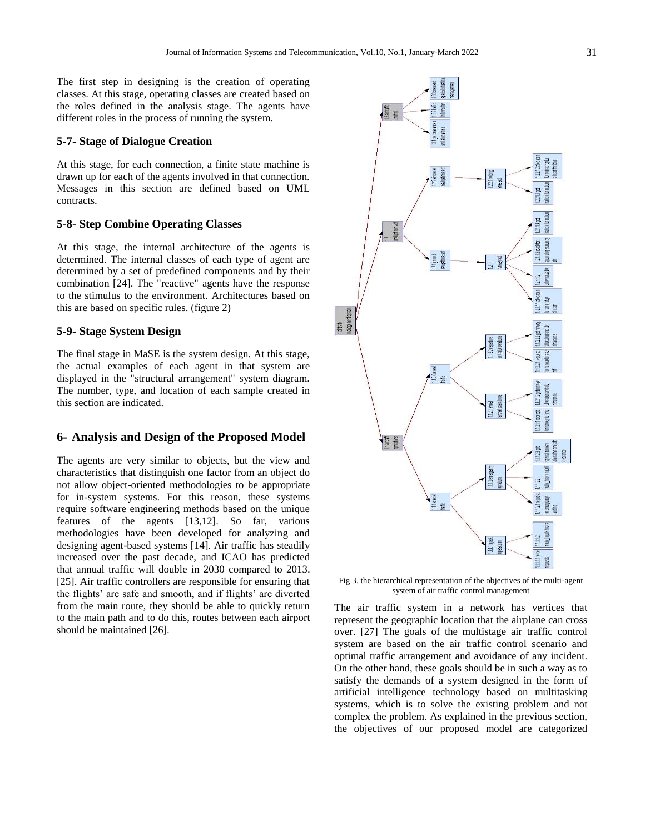The first step in designing is the creation of operating classes. At this stage, operating classes are created based on the roles defined in the analysis stage. The agents have different roles in the process of running the system.

#### **5-7- Stage of Dialogue Creation**

At this stage, for each connection, a finite state machine is drawn up for each of the agents involved in that connection. Messages in this section are defined based on UML contracts.

## **5-8- Step Combine Operating Classes**

At this stage, the internal architecture of the agents is determined. The internal classes of each type of agent are determined by a set of predefined components and by their combination [24]. The "reactive" agents have the response to the stimulus to the environment. Architectures based on this are based on specific rules. (figure 2)

## **5-9- Stage System Design**

The final stage in MaSE is the system design. At this stage, the actual examples of each agent in that system are displayed in the "structural arrangement" system diagram. The number, type, and location of each sample created in this section are indicated.

## **6- Analysis and Design of the Proposed Model**

The agents are very similar to objects, but the view and characteristics that distinguish one factor from an object do not allow object-oriented methodologies to be appropriate for in-system systems. For this reason, these systems require software engineering methods based on the unique features of the agents [13,12]. So far, various methodologies have been developed for analyzing and designing agent-based systems [14]. Air traffic has steadily increased over the past decade, and ICAO has predicted that annual traffic will double in 2030 compared to 2013. [25]. Air traffic controllers are responsible for ensuring that the flights" are safe and smooth, and if flights" are diverted from the main route, they should be able to quickly return to the main path and to do this, routes between each airport should be maintained [26].



Fig 3. the hierarchical representation of the objectives of the multi-agent system of air traffic control management

The air traffic system in a network has vertices that represent the geographic location that the airplane can cross over. [27] The goals of the multistage air traffic control system are based on the air traffic control scenario and optimal traffic arrangement and avoidance of any incident. On the other hand, these goals should be in such a way as to satisfy the demands of a system designed in the form of artificial intelligence technology based on multitasking systems, which is to solve the existing problem and not complex the problem. As explained in the previous section, the objectives of our proposed model are categorized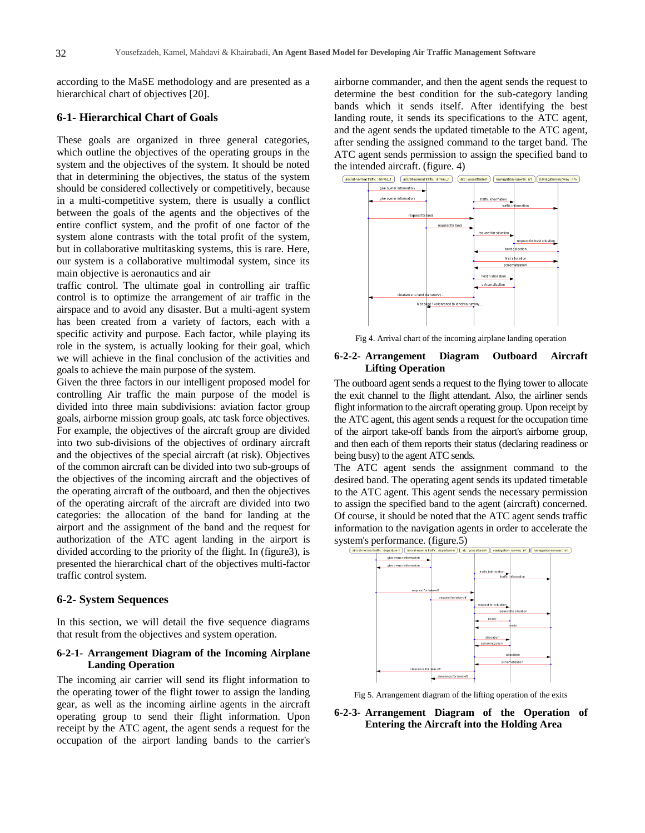according to the MaSE methodology and are presented as a hierarchical chart of objectives [20].

## **6-1- Hierarchical Chart of Goals**

These goals are organized in three general categories, which outline the objectives of the operating groups in the system and the objectives of the system. It should be noted that in determining the objectives, the status of the system should be considered collectively or competitively, because in a multi-competitive system, there is usually a conflict between the goals of the agents and the objectives of the entire conflict system, and the profit of one factor of the system alone contrasts with the total profit of the system, but in collaborative multitasking systems, this is rare. Here, our system is a collaborative multimodal system, since its main objective is aeronautics and air

traffic control. The ultimate goal in controlling air traffic control is to optimize the arrangement of air traffic in the airspace and to avoid any disaster. But a multi-agent system has been created from a variety of factors, each with a specific activity and purpose. Each factor, while playing its role in the system, is actually looking for their goal, which we will achieve in the final conclusion of the activities and goals to achieve the main purpose of the system.

Given the three factors in our intelligent proposed model for controlling Air traffic the main purpose of the model is divided into three main subdivisions: aviation factor group goals, airborne mission group goals, atc task force objectives. For example, the objectives of the aircraft group are divided into two sub-divisions of the objectives of ordinary aircraft and the objectives of the special aircraft (at risk). Objectives of the common aircraft can be divided into two sub-groups of the objectives of the incoming aircraft and the objectives of the operating aircraft of the outboard, and then the objectives of the operating aircraft of the aircraft are divided into two categories: the allocation of the band for landing at the airport and the assignment of the band and the request for authorization of the ATC agent landing in the airport is divided according to the priority of the flight. In (figure3), is presented the hierarchical chart of the objectives multi-factor traffic control system.

#### **6-2- System Sequences**

In this section, we will detail the five sequence diagrams that result from the objectives and system operation.

## **6-2-1- Arrangement Diagram of the Incoming Airplane Landing Operation**

The incoming air carrier will send its flight information to the operating tower of the flight tower to assign the landing gear, as well as the incoming airline agents in the aircraft operating group to send their flight information. Upon receipt by the ATC agent, the agent sends a request for the occupation of the airport landing bands to the carrier's

airborne commander, and then the agent sends the request to determine the best condition for the sub-category landing bands which it sends itself. After identifying the best landing route, it sends its specifications to the ATC agent, and the agent sends the updated timetable to the ATC agent, after sending the assigned command to the target band. The ATC agent sends permission to assign the specified band to the intended aircraft. (figure. 4)



Fig 4. Arrival chart of the incoming airplane landing operation

#### **6-2-2- Arrangement Diagram Outboard Aircraft Lifting Operation**

The outboard agent sends a request to the flying tower to allocate the exit channel to the flight attendant. Also, the airliner sends flight information to the aircraft operating group. Upon receipt by the ATC agent, this agent sends a request for the occupation time of the airport take-off bands from the airport's airborne group, and then each of them reports their status (declaring readiness or being busy) to the agent ATC sends.

The ATC agent sends the assignment command to the desired band. The operating agent sends its updated timetable to the ATC agent. This agent sends the necessary permission to assign the specified band to the agent (aircraft) concerned. Of course, it should be noted that the ATC agent sends traffic information to the navigation agents in order to accelerate the system's performance. (figure.5)



Fig 5. Arrangement diagram of the lifting operation of the exits

**6-2-3- Arrangement Diagram of the Operation of Entering the Aircraft into the Holding Area**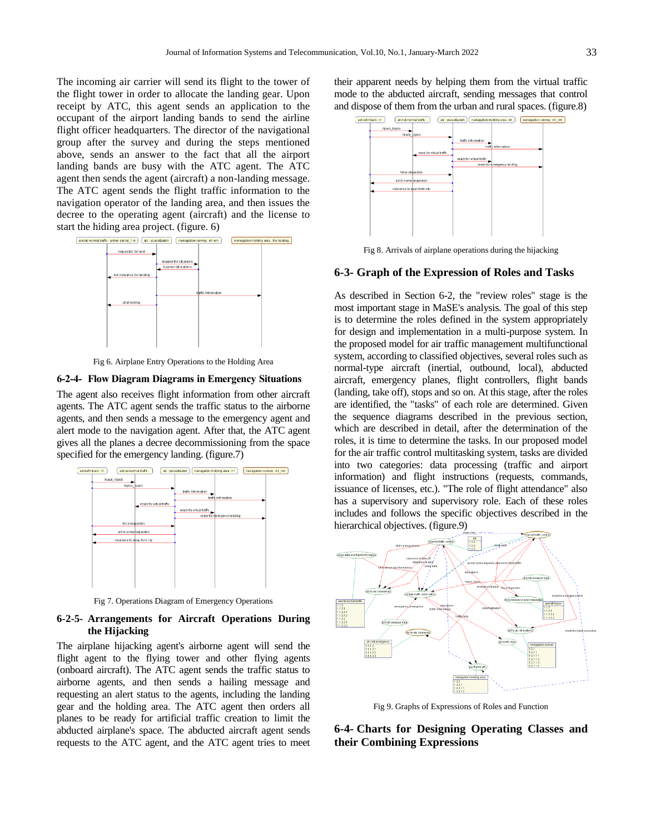The incoming air carrier will send its flight to the tower of the flight tower in order to allocate the landing gear. Upon receipt by ATC, this agent sends an application to the occupant of the airport landing bands to send the airline flight officer headquarters. The director of the navigational group after the survey and during the steps mentioned above, sends an answer to the fact that all the airport landing bands are busy with the ATC agent. The ATC agent then sends the agent (aircraft) a non-landing message. The ATC agent sends the flight traffic information to the navigation operator of the landing area, and then issues the decree to the operating agent (aircraft) and the license to start the hiding area project. (figure. 6)



Fig 6. Airplane Entry Operations to the Holding Area

#### **6-2-4- Flow Diagram Diagrams in Emergency Situations**

The agent also receives flight information from other aircraft agents. The ATC agent sends the traffic status to the airborne agents, and then sends a message to the emergency agent and alert mode to the navigation agent. After that, the ATC agent gives all the planes a decree decommissioning from the space specified for the emergency landing. (figure.7)



Fig 7. Operations Diagram of Emergency Operations

#### **6-2-5- Arrangements for Aircraft Operations During the Hijacking**

The airplane hijacking agent's airborne agent will send the flight agent to the flying tower and other flying agents (onboard aircraft). The ATC agent sends the traffic status to airborne agents, and then sends a hailing message and requesting an alert status to the agents, including the landing gear and the holding area. The ATC agent then orders all planes to be ready for artificial traffic creation to limit the abducted airplane's space. The abducted aircraft agent sends requests to the ATC agent, and the ATC agent tries to meet

their apparent needs by helping them from the virtual traffic mode to the abducted aircraft, sending messages that control and dispose of them from the urban and rural spaces. (figure.8)



Fig 8. Arrivals of airplane operations during the hijacking

## **6-3- Graph of the Expression of Roles and Tasks**

As described in Section 6-2, the "review roles" stage is the most important stage in MaSE's analysis. The goal of this step is to determine the roles defined in the system appropriately for design and implementation in a multi-purpose system. In the proposed model for air traffic management multifunctional system, according to classified objectives, several roles such as normal-type aircraft (inertial, outbound, local), abducted aircraft, emergency planes, flight controllers, flight bands (landing, take off), stops and so on. At this stage, after the roles are identified, the "tasks" of each role are determined. Given the sequence diagrams described in the previous section, which are described in detail, after the determination of the roles, it is time to determine the tasks. In our proposed model for the air traffic control multitasking system, tasks are divided into two categories: data processing (traffic and airport information) and flight instructions (requests, commands, issuance of licenses, etc.). "The role of flight attendance" also has a supervisory and supervisory role. Each of these roles includes and follows the specific objectives described in the hierarchical objectives. (figure.9)



Fig 9. Graphs of Expressions of Roles and Function

**6-4- Charts for Designing Operating Classes and their Combining Expressions**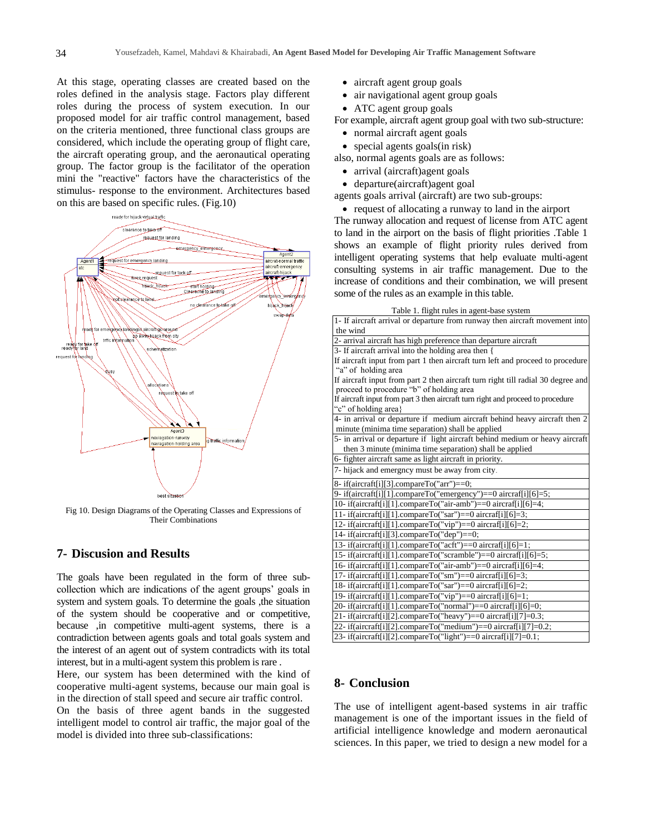At this stage, operating classes are created based on the roles defined in the analysis stage. Factors play different roles during the process of system execution. In our proposed model for air traffic control management, based on the criteria mentioned, three functional class groups are considered, which include the operating group of flight care, the aircraft operating group, and the aeronautical operating group. The factor group is the facilitator of the operation mini the "reactive" factors have the characteristics of the stimulus- response to the environment. Architectures based on this are based on specific rules. (Fig.10)



Fig 10. Design Diagrams of the Operating Classes and Expressions of Their Combinations

## **7- Discusion and Results**

The goals have been regulated in the form of three subcollection which are indications of the agent groups" goals in system and system goals. To determine the goals , the situation of the system should be cooperative and or competitive, because ,in competitive multi-agent systems, there is a contradiction between agents goals and total goals system and the interest of an agent out of system contradicts with its total interest, but in a multi-agent system this problem is rare .

Here, our system has been determined with the kind of cooperative multi-agent systems, because our main goal is in the direction of stall speed and secure air traffic control.

On the basis of three agent bands in the suggested intelligent model to control air traffic, the major goal of the model is divided into three sub-classifications:

- aircraft agent group goals
- air navigational agent group goals
- ATC agent group goals

For example, aircraft agent group goal with two sub-structure:

- normal aircraft agent goals
- special agents goals(in risk)

also, normal agents goals are as follows:

- arrival (aircraft)agent goals
- departure(aircraft)agent goal

agents goals arrival (aircraft) are two sub-groups:

• request of allocating a runway to land in the airport

The runway allocation and request of license from ATC agent to land in the airport on the basis of flight priorities .Table 1 shows an example of flight priority rules derived from intelligent operating systems that help evaluate multi-agent consulting systems in air traffic management. Due to the increase of conditions and their combination, we will present some of the rules as an example in this table.

Table 1. flight rules in agent-base system

| rable 1. Hight fulles in agent-base system                                       |
|----------------------------------------------------------------------------------|
| 1- If aircraft arrival or departure from runway then aircraft movement into      |
| the wind                                                                         |
| 2- arrival aircraft has high preference than departure aircraft                  |
| 3- If aircraft arrival into the holding area then {                              |
| If aircraft input from part 1 then aircraft turn left and proceed to procedure   |
| "a" of holding area                                                              |
| If aircraft input from part 2 then aircraft turn right till radial 30 degree and |
| proceed to procedure "b" of holding area                                         |
| If aircraft input from part 3 then aircraft turn right and proceed to procedure  |
| "c" of holding area                                                              |
| 4- in arrival or departure if medium aircraft behind heavy aircraft then 2       |
| minute (minima time separation) shall be applied                                 |
| 5- in arrival or departure if light aircraft behind medium or heavy aircraft     |
| then 3 minute (minima time separation) shall be applied                          |
| 6- fighter aircraft same as light aircraft in priority.                          |
| 7- hijack and emergncy must be away from city.                                   |
| 8- if(aircraft[i][3].compareTo("arr")==0;                                        |
| 9-if(aircraft[i][1].compareTo("emergency")==0 aircraf[i][6]=5;                   |
| 10-if(aircraft[i][1].compareTo("air-amb")==0 aircraf[i][6]=4;                    |
| 11-if(aircraft[i][1].compareTo("sar")==0 aircraf[i][6]=3;                        |
| 12-if(aircraft[i][1].compareTo("vip")==0 aircraf[i][6]=2;                        |
| 14-if(aircraft[i][3].compareTo("dep")==0;                                        |
| 13-if(aircraft[i][1].compareTo("acft")==0 aircraf[i][6]=1;                       |
| 15-if(aircraft[i][1].compareTo("scramble")==0 aircraf[i][6]=5;                   |
| 16-if(aircraft[i][1].compareTo("air-amb")==0 aircraf[i][6]=4;                    |
| 17-if(aircraft[i][1].compareTo("sm")==0 aircraf[i][6]=3;                         |
| 18-if(aircraft[i][1].compareTo("sar")==0 aircraf[i][6]=2;                        |
| 19-if(aircraft[i][1].compareTo("vip")==0 aircraf[i][6]=1;                        |
| 20-if(aircraft[i][1].compareTo("normal")==0 aircraf[i][6]=0;                     |
| 21-if(aircraft[i][2].compareTo("heavy")==0 aircraf[i][7]=0.3;                    |
| 22-if(aircraft[i][2].compareTo("medium")==0 aircraf[i][7]=0.2;                   |
| 23-if(aircraft[i][2].compareTo("light")==0 aircraf[i][7]=0.1;                    |

# **8- Conclusion**

The use of intelligent agent-based systems in air traffic management is one of the important issues in the field of artificial intelligence knowledge and modern aeronautical sciences. In this paper, we tried to design a new model for a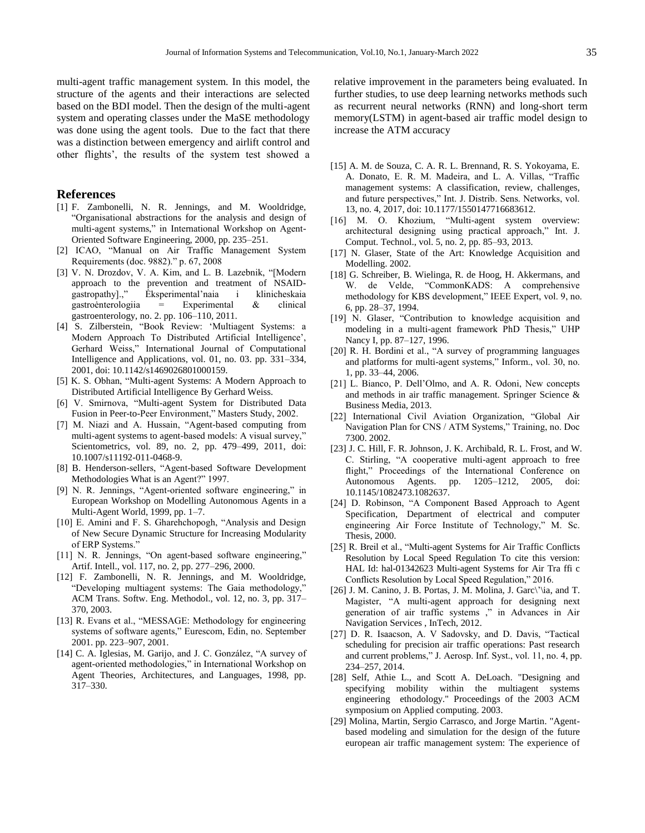multi-agent traffic management system. In this model, the structure of the agents and their interactions are selected based on the BDI model. Then the design of the multi-agent system and operating classes under the MaSE methodology was done using the agent tools. Due to the fact that there was a distinction between emergency and airlift control and other flights", the results of the system test showed a

#### **References**

- [1] F. Zambonelli, N. R. Jennings, and M. Wooldridge, "Organisational abstractions for the analysis and design of multi-agent systems," in International Workshop on Agent-Oriented Software Engineering, 2000, pp. 235–251.
- [2] ICAO, "Manual on Air Traffic Management System Requirements (doc. 9882)." p. 67, 2008
- [3] V. N. Drozdov, V. A. Kim, and L. B. Lazebnik, "[Modern approach to the prevention and treatment of NSAIDgastropathy].," Ėksperimental"naia i klinicheskaia gastroėnterologiia = Experimental & clinical gastroenterology, no. 2. pp. 106–110, 2011.
- [4] S. Zilberstein, "Book Review: "Multiagent Systems: a Modern Approach To Distributed Artificial Intelligence", Gerhard Weiss," International Journal of Computational Intelligence and Applications, vol. 01, no. 03. pp. 331–334, 2001, doi: 10.1142/s1469026801000159.
- [5] K. S. Obhan, "Multi-agent Systems: A Modern Approach to Distributed Artificial Intelligence By Gerhard Weiss.
- [6] V. Smirnova, "Multi-agent System for Distributed Data Fusion in Peer-to-Peer Environment," Masters Study, 2002.
- [7] M. Niazi and A. Hussain, "Agent-based computing from multi-agent systems to agent-based models: A visual survey," Scientometrics, vol. 89, no. 2, pp. 479–499, 2011, doi: 10.1007/s11192-011-0468-9.
- [8] B. Henderson-sellers, "Agent-based Software Development Methodologies What is an Agent?" 1997.
- [9] N. R. Jennings, "Agent-oriented software engineering," in European Workshop on Modelling Autonomous Agents in a Multi-Agent World, 1999, pp. 1–7.
- [10] E. Amini and F. S. Gharehchopogh, "Analysis and Design of New Secure Dynamic Structure for Increasing Modularity of ERP Systems."
- [11] N. R. Jennings, "On agent-based software engineering," Artif. Intell., vol. 117, no. 2, pp. 277–296, 2000.
- [12] F. Zambonelli, N. R. Jennings, and M. Wooldridge, "Developing multiagent systems: The Gaia methodology, ACM Trans. Softw. Eng. Methodol., vol. 12, no. 3, pp. 317– 370, 2003.
- [13] R. Evans et al., "MESSAGE: Methodology for engineering systems of software agents," Eurescom, Edin, no. September 2001. pp. 223–907, 2001.
- [14] C. A. Iglesias, M. Garijo, and J. C. González, "A survey of agent-oriented methodologies," in International Workshop on Agent Theories, Architectures, and Languages, 1998, pp. 317–330.

relative improvement in the parameters being evaluated. In further studies, to use deep learning networks methods such as recurrent neural networks (RNN) and long-short term memory(LSTM) in agent-based air traffic model design to increase the ATM accuracy

- [15] A. M. de Souza, C. A. R. L. Brennand, R. S. Yokoyama, E. A. Donato, E. R. M. Madeira, and L. A. Villas, "Traffic management systems: A classification, review, challenges, and future perspectives," Int. J. Distrib. Sens. Networks, vol. 13, no. 4, 2017, doi: 10.1177/1550147716683612.
- [16] M. O. Khozium, "Multi-agent system overview: architectural designing using practical approach," Int. J. Comput. Technol., vol. 5, no. 2, pp. 85–93, 2013.
- [17] N. Glaser, State of the Art: Knowledge Acquisition and Modelling. 2002.
- [18] G. Schreiber, B. Wielinga, R. de Hoog, H. Akkermans, and W. de Velde, "CommonKADS: A comprehensive methodology for KBS development," IEEE Expert, vol. 9, no. 6, pp. 28–37, 1994.
- [19] N. Glaser, "Contribution to knowledge acquisition and modeling in a multi-agent framework PhD Thesis," UHP Nancy I, pp. 87–127, 1996.
- [20] R. H. Bordini et al., "A survey of programming languages and platforms for multi-agent systems," Inform., vol. 30, no. 1, pp. 33–44, 2006.
- [21] L. Bianco, P. Dell'Olmo, and A. R. Odoni, New concepts and methods in air traffic management. Springer Science & Business Media, 2013.
- [22] International Civil Aviation Organization, "Global Air Navigation Plan for CNS / ATM Systems," Training, no. Doc 7300. 2002.
- [23] J. C. Hill, F. R. Johnson, J. K. Archibald, R. L. Frost, and W. C. Stirling, "A cooperative multi-agent approach to free flight," Proceedings of the International Conference on Autonomous Agents. pp. 1205–1212, 2005, doi: 10.1145/1082473.1082637.
- [24] D. Robinson, "A Component Based Approach to Agent Specification, Department of electrical and computer engineering Air Force Institute of Technology," M. Sc. Thesis, 2000.
- [25] R. Breil et al., "Multi-agent Systems for Air Traffic Conflicts Resolution by Local Speed Regulation To cite this version: HAL Id: hal-01342623 Multi-agent Systems for Air Tra ffi c Conflicts Resolution by Local Speed Regulation," 2016.
- [26] J. M. Canino, J. B. Portas, J. M. Molina, J. Garc\"\ia, and T. Magister, "A multi-agent approach for designing next generation of air traffic systems ," in Advances in Air Navigation Services , InTech, 2012.
- [27] D. R. Isaacson, A. V Sadovsky, and D. Davis, "Tactical scheduling for precision air traffic operations: Past research and current problems," J. Aerosp. Inf. Syst., vol. 11, no. 4, pp. 234–257, 2014.
- [28] Self, Athie L., and Scott A. DeLoach. "Designing and specifying mobility within the multiagent systems engineering ethodology." Proceedings of the 2003 ACM symposium on Applied computing. 2003.
- [29] Molina, Martin, Sergio Carrasco, and Jorge Martin. "Agentbased modeling and simulation for the design of the future european air traffic management system: The experience of